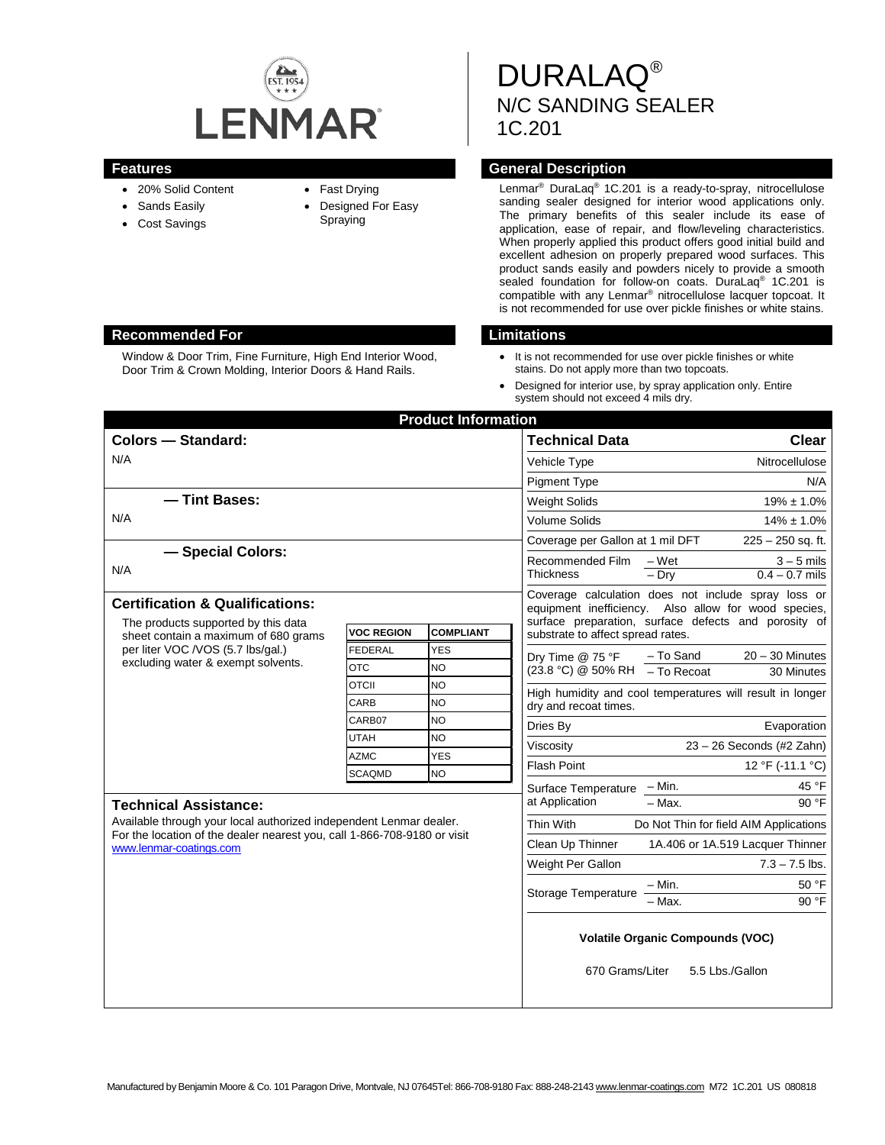

- 20% Solid Content
- Sands Easily
- Cost Savings
- Fast Drying
- Designed For Easy Spraying

DURALAQ® N/C SANDING SEALER 1C.201

# **Features Features General Description**

Lenmar® DuraLaq® 1C.201 is a ready-to-spray, nitrocellulose sanding sealer designed for interior wood applications only. The primary benefits of this sealer include its ease of application, ease of repair, and flow/leveling characteristics. When properly applied this product offers good initial build and excellent adhesion on properly prepared wood surfaces. This product sands easily and powders nicely to provide a smooth sealed foundation for follow-on coats. DuraLaq® 1C.201 is compatible with any Lenmar® nitrocellulose lacquer topcoat. It is not recommended for use over pickle finishes or white stains.

- It is not recommended for use over pickle finishes or white stains. Do not apply more than two topcoats.
- Designed for interior use, by spray application only. Entire system should not exceed 4 mils dry.

| <b>Product Information</b>                                                                                                                                                |                            |                         |                                                                                                                                                                     |                                                                                                                                                         |                                  |  |
|---------------------------------------------------------------------------------------------------------------------------------------------------------------------------|----------------------------|-------------------------|---------------------------------------------------------------------------------------------------------------------------------------------------------------------|---------------------------------------------------------------------------------------------------------------------------------------------------------|----------------------------------|--|
| <b>Colors - Standard:</b>                                                                                                                                                 |                            |                         | <b>Technical Data</b>                                                                                                                                               | <b>Clear</b>                                                                                                                                            |                                  |  |
| N/A                                                                                                                                                                       |                            |                         | Vehicle Type                                                                                                                                                        | Nitrocellulose                                                                                                                                          |                                  |  |
|                                                                                                                                                                           |                            |                         | <b>Pigment Type</b>                                                                                                                                                 |                                                                                                                                                         | N/A                              |  |
| - Tint Bases:                                                                                                                                                             |                            |                         | <b>Weight Solids</b>                                                                                                                                                | $19\% \pm 1.0\%$                                                                                                                                        |                                  |  |
| N/A                                                                                                                                                                       |                            |                         | <b>Volume Solids</b>                                                                                                                                                | $14\% \pm 1.0\%$                                                                                                                                        |                                  |  |
|                                                                                                                                                                           |                            |                         | Coverage per Gallon at 1 mil DFT                                                                                                                                    | $225 - 250$ sq. ft.                                                                                                                                     |                                  |  |
| - Special Colors:<br>N/A                                                                                                                                                  |                            |                         | Recommended Film<br><b>Thickness</b>                                                                                                                                | $-Wet$<br>$-$ Drv                                                                                                                                       | $3 - 5$ mils<br>$0.4 - 0.7$ mils |  |
| <b>Certification &amp; Qualifications:</b><br>The products supported by this data                                                                                         |                            |                         | Coverage calculation does not include spray loss or<br>equipment inefficiency. Also allow for wood species,<br>surface preparation, surface defects and porosity of |                                                                                                                                                         |                                  |  |
| sheet contain a maximum of 680 grams<br>per liter VOC /VOS (5.7 lbs/gal.)<br>excluding water & exempt solvents.                                                           | <b>VOC REGION</b>          | <b>COMPLIANT</b>        |                                                                                                                                                                     | substrate to affect spread rates.                                                                                                                       |                                  |  |
|                                                                                                                                                                           | <b>FEDERAL</b>             | <b>YES</b>              | Dry Time @ 75 °F                                                                                                                                                    | - To Sand                                                                                                                                               | $20 - 30$ Minutes                |  |
|                                                                                                                                                                           | <b>OTC</b>                 | NO                      | $(23.8 °C) @ 50% RH$ - To Recoat                                                                                                                                    |                                                                                                                                                         | 30 Minutes                       |  |
|                                                                                                                                                                           | <b>OTCII</b>               | <b>NO</b>               |                                                                                                                                                                     | High humidity and cool temperatures will result in longer<br>dry and recoat times.<br>Dries By<br>Evaporation<br>Viscosity<br>23 - 26 Seconds (#2 Zahn) |                                  |  |
|                                                                                                                                                                           | CARB                       | <b>NO</b>               |                                                                                                                                                                     |                                                                                                                                                         |                                  |  |
|                                                                                                                                                                           | CARB07                     | <b>NO</b>               |                                                                                                                                                                     |                                                                                                                                                         |                                  |  |
|                                                                                                                                                                           | <b>UTAH</b><br><b>AZMC</b> | <b>NO</b><br><b>YES</b> |                                                                                                                                                                     |                                                                                                                                                         |                                  |  |
|                                                                                                                                                                           | <b>SCAQMD</b>              | <b>NO</b>               | <b>Flash Point</b>                                                                                                                                                  |                                                                                                                                                         | 12 °F (-11.1 °C)                 |  |
|                                                                                                                                                                           |                            |                         | Surface Temperature - Min.                                                                                                                                          |                                                                                                                                                         | 45 °F                            |  |
| <b>Technical Assistance:</b>                                                                                                                                              |                            |                         | at Application                                                                                                                                                      | $-$ Max.                                                                                                                                                | 90 °F                            |  |
| Available through your local authorized independent Lenmar dealer.<br>For the location of the dealer nearest you, call 1-866-708-9180 or visit<br>www.lenmar-coatings.com |                            |                         | Thin With                                                                                                                                                           | Do Not Thin for field AIM Applications                                                                                                                  |                                  |  |
|                                                                                                                                                                           |                            |                         | Clean Up Thinner                                                                                                                                                    | 1A.406 or 1A.519 Lacquer Thinner                                                                                                                        |                                  |  |
|                                                                                                                                                                           |                            |                         | Weight Per Gallon                                                                                                                                                   |                                                                                                                                                         | $7.3 - 7.5$ lbs.                 |  |
|                                                                                                                                                                           |                            |                         |                                                                                                                                                                     | - Min.                                                                                                                                                  | 50 °F                            |  |
|                                                                                                                                                                           |                            |                         | Storage Temperature                                                                                                                                                 | - Max.                                                                                                                                                  | 90 °F                            |  |
|                                                                                                                                                                           |                            |                         | <b>Volatile Organic Compounds (VOC)</b><br>670 Grams/Liter<br>5.5 Lbs./Gallon                                                                                       |                                                                                                                                                         |                                  |  |

## **Recommended For Limitations**

Window & Door Trim, Fine Furniture, High End Interior Wood, Door Trim & Crown Molding, Interior Doors & Hand Rails.